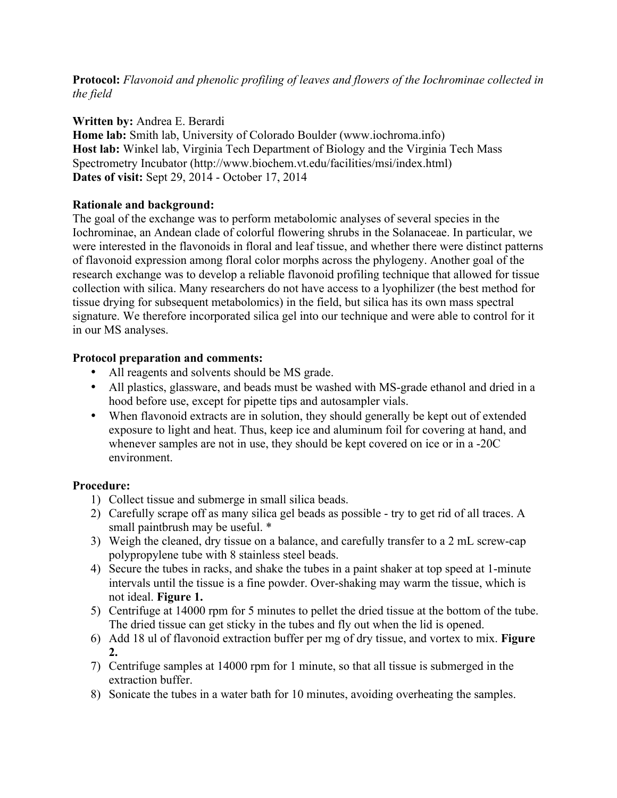**Protocol:** *Flavonoid and phenolic profiling of leaves and flowers of the Iochrominae collected in the field*

#### **Written by:** Andrea E. Berardi

**Home lab:** Smith lab, University of Colorado Boulder (www.iochroma.info) **Host lab:** Winkel lab, Virginia Tech Department of Biology and the Virginia Tech Mass Spectrometry Incubator (http://www.biochem.vt.edu/facilities/msi/index.html) **Dates of visit:** Sept 29, 2014 - October 17, 2014

#### **Rationale and background:**

The goal of the exchange was to perform metabolomic analyses of several species in the Iochrominae, an Andean clade of colorful flowering shrubs in the Solanaceae. In particular, we were interested in the flavonoids in floral and leaf tissue, and whether there were distinct patterns of flavonoid expression among floral color morphs across the phylogeny. Another goal of the research exchange was to develop a reliable flavonoid profiling technique that allowed for tissue collection with silica. Many researchers do not have access to a lyophilizer (the best method for tissue drying for subsequent metabolomics) in the field, but silica has its own mass spectral signature. We therefore incorporated silica gel into our technique and were able to control for it in our MS analyses.

#### **Protocol preparation and comments:**

- All reagents and solvents should be MS grade.
- All plastics, glassware, and beads must be washed with MS-grade ethanol and dried in a hood before use, except for pipette tips and autosampler vials.
- When flavonoid extracts are in solution, they should generally be kept out of extended exposure to light and heat. Thus, keep ice and aluminum foil for covering at hand, and whenever samples are not in use, they should be kept covered on ice or in a -20C environment.

#### **Procedure:**

- 1) Collect tissue and submerge in small silica beads.
- 2) Carefully scrape off as many silica gel beads as possible try to get rid of all traces. A small paintbrush may be useful.  $*$
- 3) Weigh the cleaned, dry tissue on a balance, and carefully transfer to a 2 mL screw-cap polypropylene tube with 8 stainless steel beads.
- 4) Secure the tubes in racks, and shake the tubes in a paint shaker at top speed at 1-minute intervals until the tissue is a fine powder. Over-shaking may warm the tissue, which is not ideal. **Figure 1.**
- 5) Centrifuge at 14000 rpm for 5 minutes to pellet the dried tissue at the bottom of the tube. The dried tissue can get sticky in the tubes and fly out when the lid is opened.
- 6) Add 18 ul of flavonoid extraction buffer per mg of dry tissue, and vortex to mix. **Figure 2.**
- 7) Centrifuge samples at 14000 rpm for 1 minute, so that all tissue is submerged in the extraction buffer.
- 8) Sonicate the tubes in a water bath for 10 minutes, avoiding overheating the samples.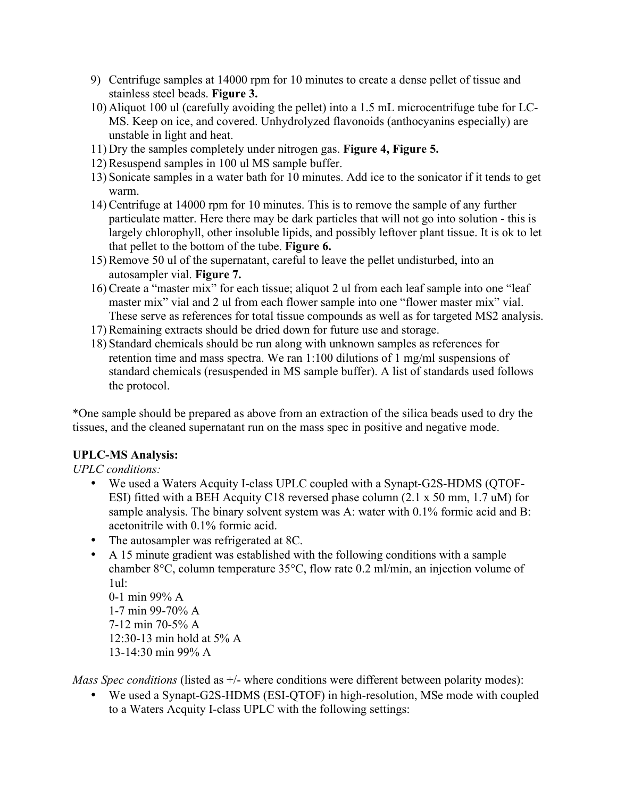- 9) Centrifuge samples at 14000 rpm for 10 minutes to create a dense pellet of tissue and stainless steel beads. **Figure 3.**
- 10) Aliquot 100 ul (carefully avoiding the pellet) into a 1.5 mL microcentrifuge tube for LC-MS. Keep on ice, and covered. Unhydrolyzed flavonoids (anthocyanins especially) are unstable in light and heat.
- 11) Dry the samples completely under nitrogen gas. **Figure 4, Figure 5.**
- 12) Resuspend samples in 100 ul MS sample buffer.
- 13) Sonicate samples in a water bath for 10 minutes. Add ice to the sonicator if it tends to get warm.
- 14) Centrifuge at 14000 rpm for 10 minutes. This is to remove the sample of any further particulate matter. Here there may be dark particles that will not go into solution - this is largely chlorophyll, other insoluble lipids, and possibly leftover plant tissue. It is ok to let that pellet to the bottom of the tube. **Figure 6.**
- 15) Remove 50 ul of the supernatant, careful to leave the pellet undisturbed, into an autosampler vial. **Figure 7.**
- 16) Create a "master mix" for each tissue; aliquot 2 ul from each leaf sample into one "leaf master mix" vial and 2 ul from each flower sample into one "flower master mix" vial. These serve as references for total tissue compounds as well as for targeted MS2 analysis.
- 17) Remaining extracts should be dried down for future use and storage.
- 18) Standard chemicals should be run along with unknown samples as references for retention time and mass spectra. We ran 1:100 dilutions of 1 mg/ml suspensions of standard chemicals (resuspended in MS sample buffer). A list of standards used follows the protocol.

\*One sample should be prepared as above from an extraction of the silica beads used to dry the tissues, and the cleaned supernatant run on the mass spec in positive and negative mode.

## **UPLC-MS Analysis:**

*UPLC conditions:*

- We used a Waters Acquity I-class UPLC coupled with a Synapt-G2S-HDMS (QTOF-ESI) fitted with a BEH Acquity C18 reversed phase column (2.1 x 50 mm, 1.7 uM) for sample analysis. The binary solvent system was A: water with 0.1% formic acid and B: acetonitrile with 0.1% formic acid.
- The autosampler was refrigerated at 8C.
- A 15 minute gradient was established with the following conditions with a sample chamber 8°C, column temperature 35°C, flow rate 0.2 ml/min, an injection volume of 1ul:

0-1 min 99% A 1-7 min 99-70% A 7-12 min 70-5% A 12:30-13 min hold at 5% A 13-14:30 min 99% A

*Mass Spec conditions* (listed as  $+/-$  where conditions were different between polarity modes):

• We used a Synapt-G2S-HDMS (ESI-QTOF) in high-resolution, MSe mode with coupled to a Waters Acquity I-class UPLC with the following settings: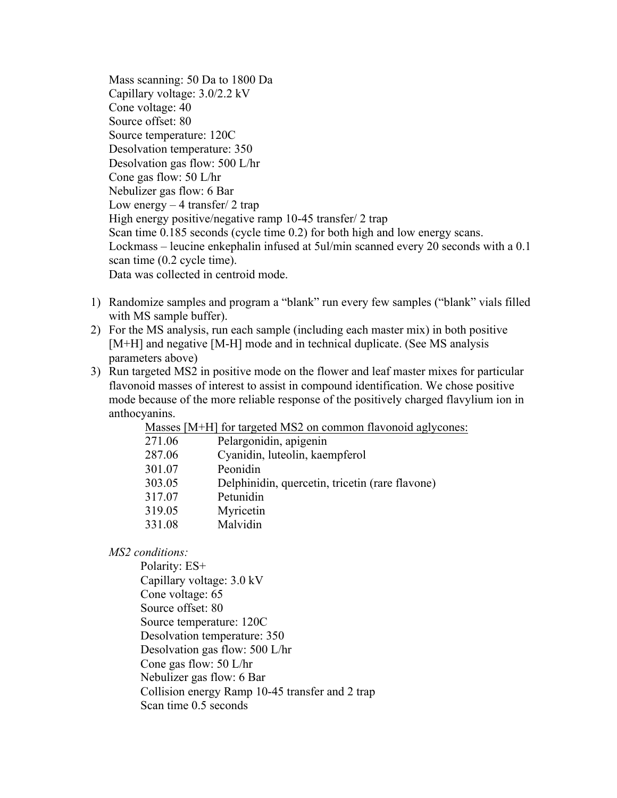Mass scanning: 50 Da to 1800 Da Capillary voltage: 3.0/2.2 kV Cone voltage: 40 Source offset: 80 Source temperature: 120C Desolvation temperature: 350 Desolvation gas flow: 500 L/hr Cone gas flow: 50 L/hr Nebulizer gas flow: 6 Bar Low energy  $-4$  transfer/ 2 trap High energy positive/negative ramp 10-45 transfer/ 2 trap Scan time 0.185 seconds (cycle time 0.2) for both high and low energy scans. Lockmass – leucine enkephalin infused at 5ul/min scanned every 20 seconds with a 0.1 scan time (0.2 cycle time). Data was collected in centroid mode.

- 1) Randomize samples and program a "blank" run every few samples ("blank" vials filled with MS sample buffer).
- 2) For the MS analysis, run each sample (including each master mix) in both positive [M+H] and negative [M-H] mode and in technical duplicate. (See MS analysis parameters above)
- 3) Run targeted MS2 in positive mode on the flower and leaf master mixes for particular flavonoid masses of interest to assist in compound identification. We chose positive mode because of the more reliable response of the positively charged flavylium ion in anthocyanins.

| Masses [M+H] for targeted MS2 on common flavonoid aglycones: |
|--------------------------------------------------------------|
|--------------------------------------------------------------|

| 271.06 | Pelargonidin, apigenin                          |
|--------|-------------------------------------------------|
| 287.06 | Cyanidin, luteolin, kaempferol                  |
| 301.07 | Peonidin                                        |
| 303.05 | Delphinidin, quercetin, tricetin (rare flavone) |
| 317.07 | Petunidin                                       |
| 319.05 | Myricetin                                       |
| 331.08 | Malvidin                                        |
|        |                                                 |

*MS2 conditions:*

Polarity: ES+ Capillary voltage: 3.0 kV Cone voltage: 65 Source offset: 80 Source temperature: 120C Desolvation temperature: 350 Desolvation gas flow: 500 L/hr Cone gas flow: 50 L/hr Nebulizer gas flow: 6 Bar Collision energy Ramp 10-45 transfer and 2 trap Scan time 0.5 seconds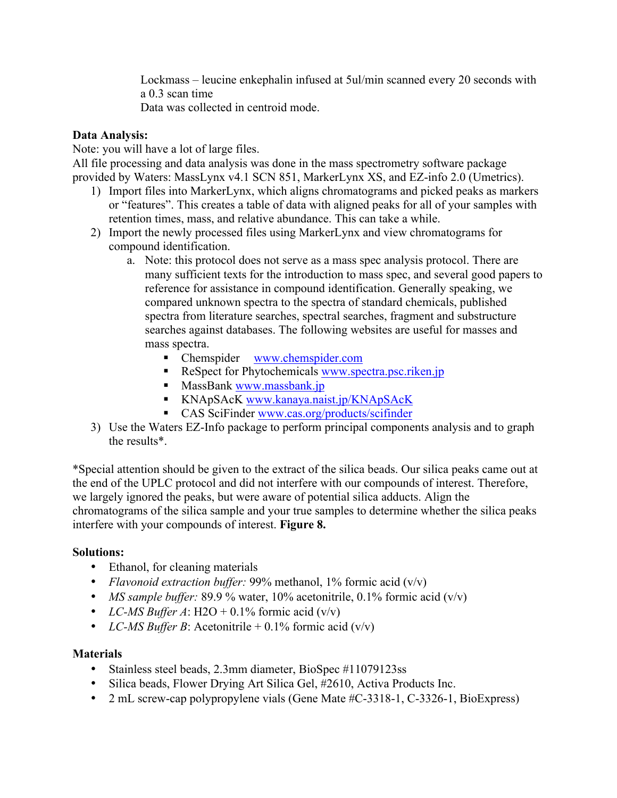Lockmass – leucine enkephalin infused at 5ul/min scanned every 20 seconds with a 0.3 scan time

Data was collected in centroid mode.

### **Data Analysis:**

Note: you will have a lot of large files.

All file processing and data analysis was done in the mass spectrometry software package provided by Waters: MassLynx v4.1 SCN 851, MarkerLynx XS, and EZ-info 2.0 (Umetrics).

- 1) Import files into MarkerLynx, which aligns chromatograms and picked peaks as markers or "features". This creates a table of data with aligned peaks for all of your samples with retention times, mass, and relative abundance. This can take a while.
- 2) Import the newly processed files using MarkerLynx and view chromatograms for compound identification.
	- a. Note: this protocol does not serve as a mass spec analysis protocol. There are many sufficient texts for the introduction to mass spec, and several good papers to reference for assistance in compound identification. Generally speaking, we compared unknown spectra to the spectra of standard chemicals, published spectra from literature searches, spectral searches, fragment and substructure searches against databases. The following websites are useful for masses and mass spectra.
		- Chemspider www.chemspider.com
		- ReSpect for Phytochemicals www.spectra.psc.riken.jp
		- **MassBank www.massbank.jp**
		- KNApSAcK www.kanaya.naist.jp/KNApSAcK
		- CAS SciFinder www.cas.org/products/scifinder
- 3) Use the Waters EZ-Info package to perform principal components analysis and to graph the results\*.

\*Special attention should be given to the extract of the silica beads. Our silica peaks came out at the end of the UPLC protocol and did not interfere with our compounds of interest. Therefore, we largely ignored the peaks, but were aware of potential silica adducts. Align the chromatograms of the silica sample and your true samples to determine whether the silica peaks interfere with your compounds of interest. **Figure 8.**

## **Solutions:**

- Ethanol, for cleaning materials
- *Flavonoid extraction buffer:* 99% methanol, 1% formic acid (v/v)
- *MS sample buffer:* 89.9 % water, 10% acetonitrile, 0.1% formic acid (v/v)
- *LC-MS Buffer A*: H2O + 0.1% formic acid  $(v/v)$
- *LC-MS Buffer B*: Acetonitrile  $+ 0.1\%$  formic acid (v/v)

## **Materials**

- Stainless steel beads, 2.3mm diameter, BioSpec #11079123ss
- Silica beads, Flower Drying Art Silica Gel, #2610, Activa Products Inc.
- 2 mL screw-cap polypropylene vials (Gene Mate #C-3318-1, C-3326-1, BioExpress)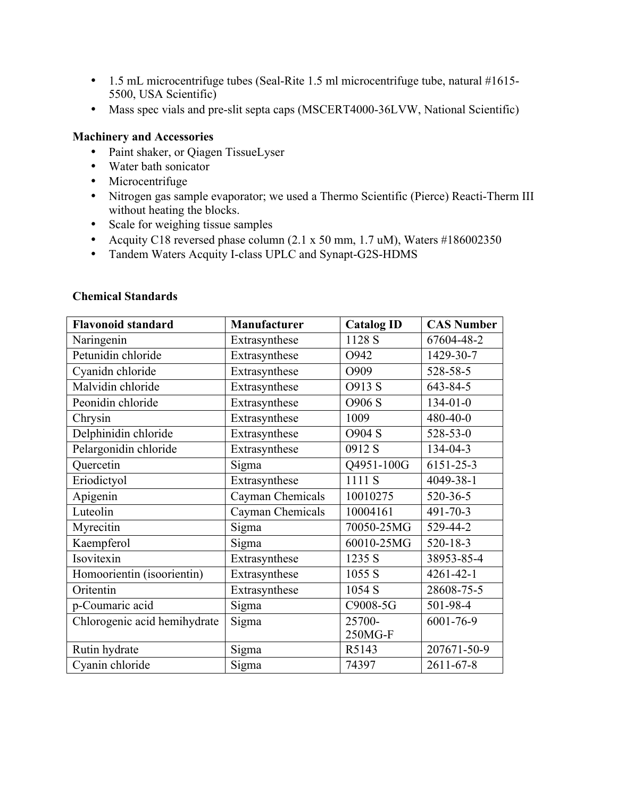- 1.5 mL microcentrifuge tubes (Seal-Rite 1.5 ml microcentrifuge tube, natural #1615- 5500, USA Scientific)
- Mass spec vials and pre-slit septa caps (MSCERT4000-36LVW, National Scientific)

#### **Machinery and Accessories**

- Paint shaker, or Qiagen TissueLyser
- Water bath sonicator
- Microcentrifuge
- Nitrogen gas sample evaporator; we used a Thermo Scientific (Pierce) Reacti-Therm III without heating the blocks.
- Scale for weighing tissue samples
- Acquity C18 reversed phase column (2.1 x 50 mm, 1.7 uM), Waters #186002350
- Tandem Waters Acquity I-class UPLC and Synapt-G2S-HDMS

|  | <b>Chemical Standards</b> |
|--|---------------------------|
|--|---------------------------|

| <b>Flavonoid standard</b>    | <b>Manufacturer</b> | <b>Catalog ID</b> | <b>CAS Number</b> |
|------------------------------|---------------------|-------------------|-------------------|
| Naringenin                   | Extrasynthese       | 1128 S            | 67604-48-2        |
| Petunidin chloride           | Extrasynthese       | O942              | 1429-30-7         |
| Cyanidn chloride             | Extrasynthese       | O909              | 528-58-5          |
| Malvidin chloride            | Extrasynthese       | O913 S            | 643-84-5          |
| Peonidin chloride            | Extrasynthese       | O906 S            | $134 - 01 - 0$    |
| Chrysin                      | Extrasynthese       | 1009              | 480-40-0          |
| Delphinidin chloride         | Extrasynthese       | O904 S            | 528-53-0          |
| Pelargonidin chloride        | Extrasynthese       | 0912 S            | 134-04-3          |
| Quercetin                    | Sigma               | Q4951-100G        | 6151-25-3         |
| Eriodictyol                  | Extrasynthese       | 1111 S            | 4049-38-1         |
| Apigenin                     | Cayman Chemicals    | 10010275          | 520-36-5          |
| Luteolin                     | Cayman Chemicals    | 10004161          | $491 - 70 - 3$    |
| Myrecitin                    | Sigma               | 70050-25MG        | 529-44-2          |
| Kaempferol                   | Sigma               | 60010-25MG        | $520 - 18 - 3$    |
| Isovitexin                   | Extrasynthese       | 1235 S            | 38953-85-4        |
| Homoorientin (isoorientin)   | Extrasynthese       | 1055 S            | $4261 - 42 - 1$   |
| Oritentin                    | Extrasynthese       | 1054 S            | 28608-75-5        |
| p-Coumaric acid              | Sigma               | C9008-5G          | 501-98-4          |
| Chlorogenic acid hemihydrate | Sigma               | 25700-            | 6001-76-9         |
|                              |                     | 250MG-F           |                   |
| Rutin hydrate                | Sigma               | R5143             | 207671-50-9       |
| Cyanin chloride              | Sigma               | 74397             | $2611 - 67 - 8$   |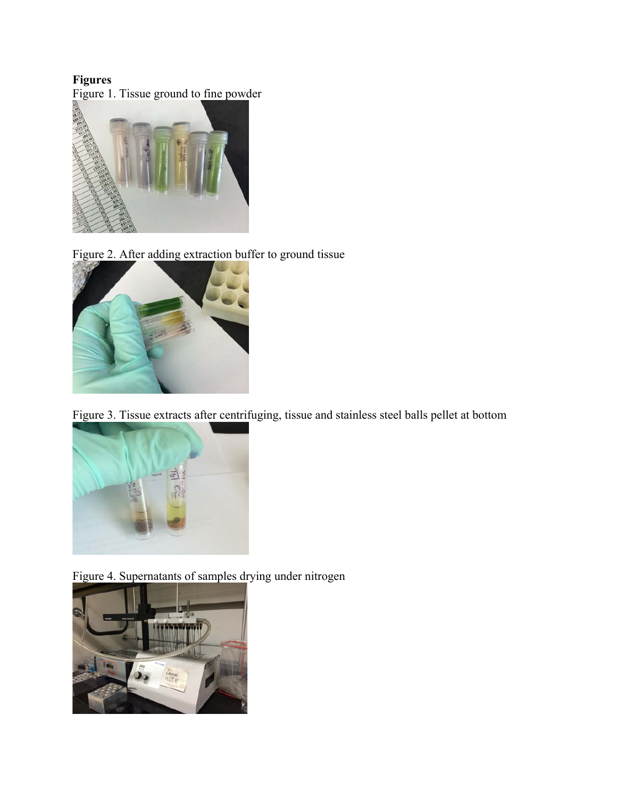# **Figures**

Figure 1. Tissue ground to fine powder



Figure 2. After adding extraction buffer to ground tissue



Figure 3. Tissue extracts after centrifuging, tissue and stainless steel balls pellet at bottom



Figure 4. Supernatants of samples drying under nitrogen

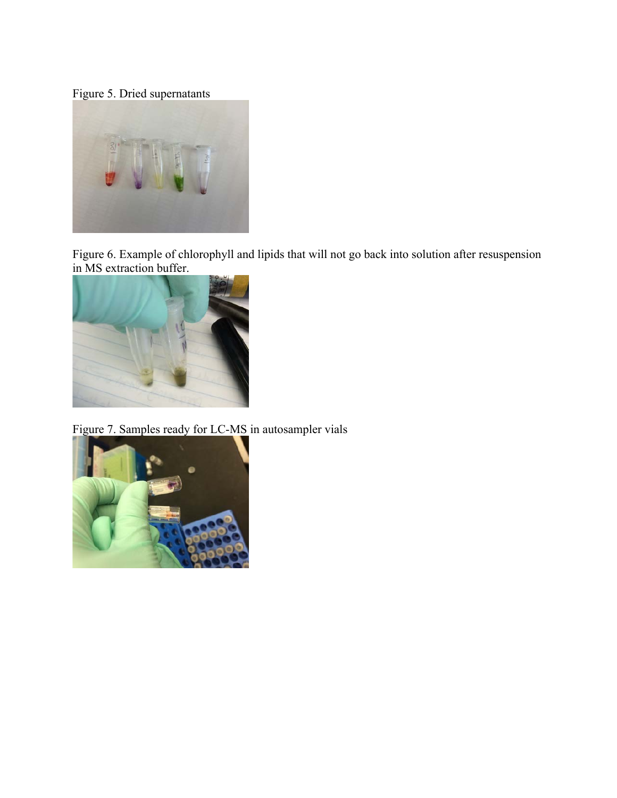Figure 5. Dried supernatants



Figure 6. Example of chlorophyll and lipids that will not go back into solution after resuspension in MS extraction buffer.



Figure 7. Samples ready for LC-MS in autosampler vials